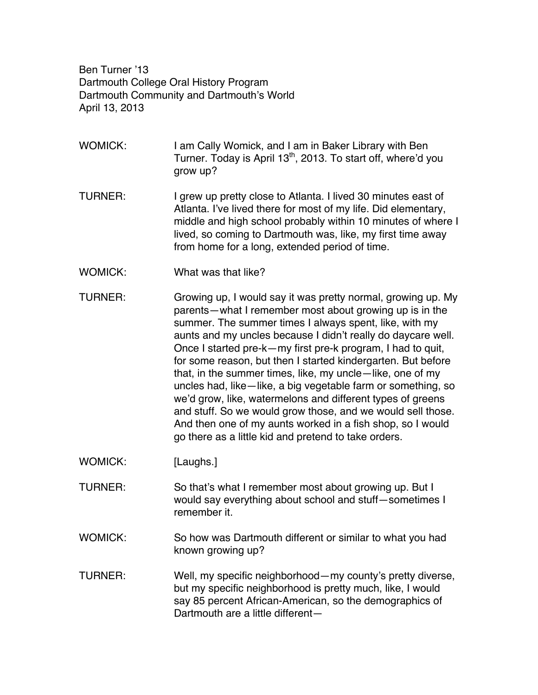Ben Turner '13 Dartmouth College Oral History Program Dartmouth Community and Dartmouth's World April 13, 2013

- WOMICK: I am Cally Womick, and I am in Baker Library with Ben Turner. Today is April 13<sup>th</sup>, 2013. To start off, where'd you grow up?
- TURNER: I grew up pretty close to Atlanta. I lived 30 minutes east of Atlanta. I've lived there for most of my life. Did elementary, middle and high school probably within 10 minutes of where I lived, so coming to Dartmouth was, like, my first time away from home for a long, extended period of time.
- WOMICK: What was that like?
- TURNER: Growing up, I would say it was pretty normal, growing up. My parents—what I remember most about growing up is in the summer. The summer times I always spent, like, with my aunts and my uncles because I didn't really do daycare well. Once I started pre-k—my first pre-k program, I had to quit, for some reason, but then I started kindergarten. But before that, in the summer times, like, my uncle—like, one of my uncles had, like—like, a big vegetable farm or something, so we'd grow, like, watermelons and different types of greens and stuff. So we would grow those, and we would sell those. And then one of my aunts worked in a fish shop, so I would go there as a little kid and pretend to take orders.
- WOMICK: [Laughs.]
- TURNER: So that's what I remember most about growing up. But I would say everything about school and stuff—sometimes I remember it.
- WOMICK: So how was Dartmouth different or similar to what you had known growing up?
- TURNER: Well, my specific neighborhood—my county's pretty diverse, but my specific neighborhood is pretty much, like, I would say 85 percent African-American, so the demographics of Dartmouth are a little different—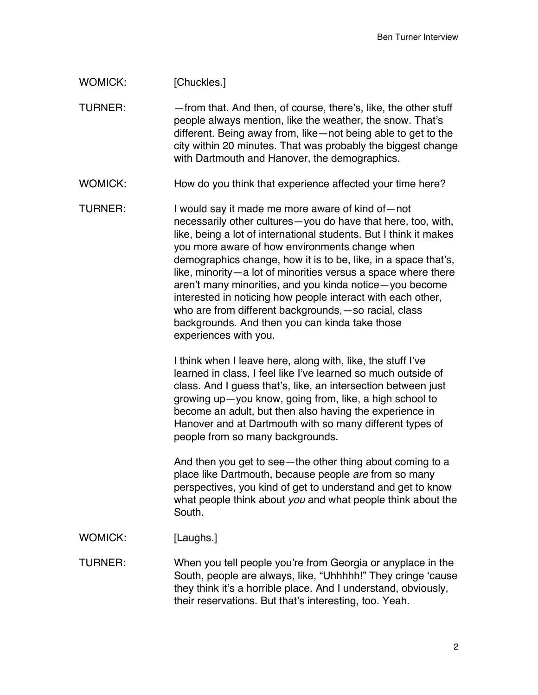## WOMICK: [Chuckles.]

TURNER: —from that. And then, of course, there's, like, the other stuff people always mention, like the weather, the snow. That's different. Being away from, like—not being able to get to the city within 20 minutes. That was probably the biggest change with Dartmouth and Hanover, the demographics.

WOMICK: How do you think that experience affected your time here?

TURNER: I would say it made me more aware of kind of—not necessarily other cultures—you do have that here, too, with, like, being a lot of international students. But I think it makes you more aware of how environments change when demographics change, how it is to be, like, in a space that's, like, minority—a lot of minorities versus a space where there aren't many minorities, and you kinda notice—you become interested in noticing how people interact with each other, who are from different backgrounds,—so racial, class backgrounds. And then you can kinda take those experiences with you.

> I think when I leave here, along with, like, the stuff I've learned in class, I feel like I've learned so much outside of class. And I guess that's, like, an intersection between just growing up—you know, going from, like, a high school to become an adult, but then also having the experience in Hanover and at Dartmouth with so many different types of people from so many backgrounds.

And then you get to see—the other thing about coming to a place like Dartmouth, because people *are* from so many perspectives, you kind of get to understand and get to know what people think about *you* and what people think about the South.

WOMICK: [Laughs.]

TURNER: When you tell people you're from Georgia or anyplace in the South, people are always, like, "Uhhhhh!" They cringe 'cause they think it's a horrible place. And I understand, obviously, their reservations. But that's interesting, too. Yeah.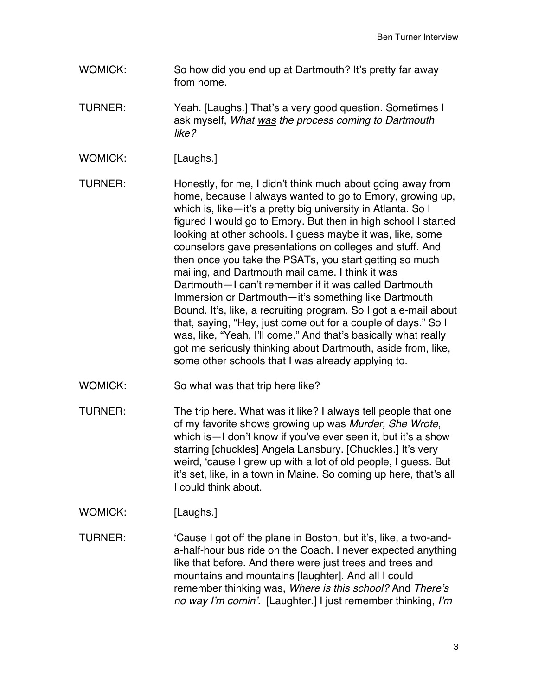- WOMICK: So how did you end up at Dartmouth? It's pretty far away from home.
- TURNER: Yeah. [Laughs.] That's a very good question. Sometimes I ask myself, *What was the process coming to Dartmouth like?*
- WOMICK: [Laughs.]

TURNER: Honestly, for me, I didn't think much about going away from home, because I always wanted to go to Emory, growing up, which is, like—it's a pretty big university in Atlanta. So I figured I would go to Emory. But then in high school I started looking at other schools. I guess maybe it was, like, some counselors gave presentations on colleges and stuff. And then once you take the PSATs, you start getting so much mailing, and Dartmouth mail came. I think it was Dartmouth—I can't remember if it was called Dartmouth Immersion or Dartmouth—it's something like Dartmouth Bound. It's, like, a recruiting program. So I got a e-mail about that, saying, "Hey, just come out for a couple of days." So I was, like, "Yeah, I'll come." And that's basically what really got me seriously thinking about Dartmouth, aside from, like, some other schools that I was already applying to.

- WOMICK: So what was that trip here like?
- TURNER: The trip here. What was it like? I always tell people that one of my favorite shows growing up was *Murder, She Wrote*, which is—I don't know if you've ever seen it, but it's a show starring [chuckles] Angela Lansbury. [Chuckles.] It's very weird, 'cause I grew up with a lot of old people, I guess. But it's set, like, in a town in Maine. So coming up here, that's all I could think about.
- WOMICK: [Laughs.]

TURNER: 'Cause I got off the plane in Boston, but it's, like, a two-anda-half-hour bus ride on the Coach. I never expected anything like that before. And there were just trees and trees and mountains and mountains [laughter]. And all I could remember thinking was, *Where is this school?* And *There's no way I'm comin'.* [Laughter.] I just remember thinking, *I'm*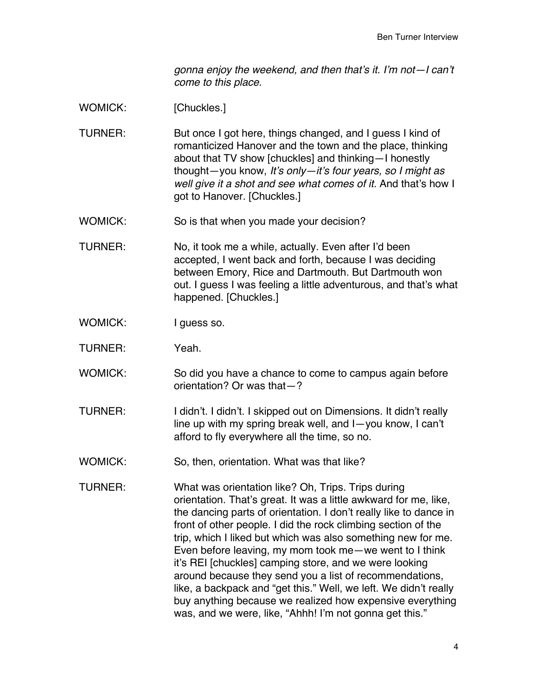*gonna enjoy the weekend, and then that's it. I'm not—I can't come to this place.*

WOMICK: [Chuckles.]

- TURNER: But once I got here, things changed, and I guess I kind of romanticized Hanover and the town and the place, thinking about that TV show [chuckles] and thinking—I honestly thought—you know, *It's only—it's four years, so I might as well give it a shot and see what comes of it.* And that's how I got to Hanover. [Chuckles.]
- WOMICK: So is that when you made your decision?
- TURNER: No, it took me a while, actually. Even after I'd been accepted, I went back and forth, because I was deciding between Emory, Rice and Dartmouth. But Dartmouth won out. I guess I was feeling a little adventurous, and that's what happened. [Chuckles.]
- WOMICK: I guess so.
- TURNER: Yeah.
- WOMICK: So did you have a chance to come to campus again before orientation? Or was that—?
- TURNER: I didn't. I didn't. I skipped out on Dimensions. It didn't really line up with my spring break well, and I—you know, I can't afford to fly everywhere all the time, so no.
- WOMICK: So, then, orientation. What was that like?
- TURNER: What was orientation like? Oh, Trips. Trips during orientation. That's great. It was a little awkward for me, like, the dancing parts of orientation. I don't really like to dance in front of other people. I did the rock climbing section of the trip, which I liked but which was also something new for me. Even before leaving, my mom took me—we went to I think it's REI [chuckles] camping store, and we were looking around because they send you a list of recommendations, like, a backpack and "get this." Well, we left. We didn't really buy anything because we realized how expensive everything was, and we were, like, "Ahhh! I'm not gonna get this."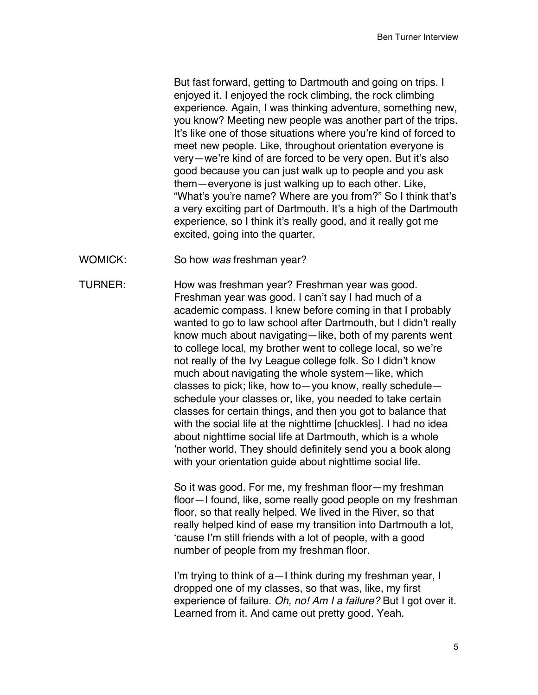But fast forward, getting to Dartmouth and going on trips. I enjoyed it. I enjoyed the rock climbing, the rock climbing experience. Again, I was thinking adventure, something new, you know? Meeting new people was another part of the trips. It's like one of those situations where you're kind of forced to meet new people. Like, throughout orientation everyone is very—we're kind of are forced to be very open. But it's also good because you can just walk up to people and you ask them—everyone is just walking up to each other. Like, "What's you're name? Where are you from?" So I think that's a very exciting part of Dartmouth. It's a high of the Dartmouth experience, so I think it's really good, and it really got me excited, going into the quarter.

WOMICK: So how *was* freshman year?

TURNER: How was freshman year? Freshman year was good. Freshman year was good. I can't say I had much of a academic compass. I knew before coming in that I probably wanted to go to law school after Dartmouth, but I didn't really know much about navigating—like, both of my parents went to college local, my brother went to college local, so we're not really of the Ivy League college folk. So I didn't know much about navigating the whole system—like, which classes to pick; like, how to—you know, really schedule schedule your classes or, like, you needed to take certain classes for certain things, and then you got to balance that with the social life at the nighttime [chuckles]. I had no idea about nighttime social life at Dartmouth, which is a whole 'nother world. They should definitely send you a book along with your orientation guide about nighttime social life.

> So it was good. For me, my freshman floor—my freshman floor—I found, like, some really good people on my freshman floor, so that really helped. We lived in the River, so that really helped kind of ease my transition into Dartmouth a lot, 'cause I'm still friends with a lot of people, with a good number of people from my freshman floor.

> I'm trying to think of a—I think during my freshman year, I dropped one of my classes, so that was, like, my first experience of failure. *Oh, no! Am I a failure?* But I got over it. Learned from it. And came out pretty good. Yeah.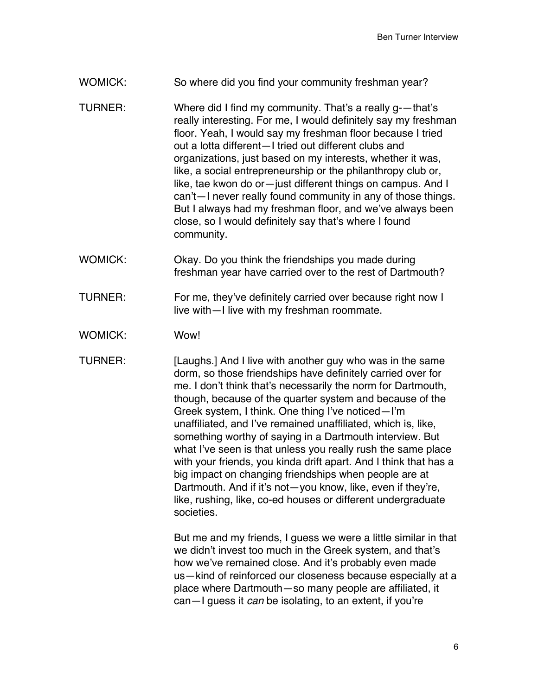## WOMICK: So where did you find your community freshman year?

- TURNER: Where did I find my community. That's a really g-—that's really interesting. For me, I would definitely say my freshman floor. Yeah, I would say my freshman floor because I tried out a lotta different—I tried out different clubs and organizations, just based on my interests, whether it was, like, a social entrepreneurship or the philanthropy club or, like, tae kwon do or—just different things on campus. And I can't—I never really found community in any of those things. But I always had my freshman floor, and we've always been close, so I would definitely say that's where I found community.
- WOMICK: Okay. Do you think the friendships you made during freshman year have carried over to the rest of Dartmouth?
- TURNER: For me, they've definitely carried over because right now I live with—I live with my freshman roommate.
- WOMICK: Wow!
- TURNER: [Laughs.] And I live with another guy who was in the same dorm, so those friendships have definitely carried over for me. I don't think that's necessarily the norm for Dartmouth, though, because of the quarter system and because of the Greek system, I think. One thing I've noticed—I'm unaffiliated, and I've remained unaffiliated, which is, like, something worthy of saying in a Dartmouth interview. But what I've seen is that unless you really rush the same place with your friends, you kinda drift apart. And I think that has a big impact on changing friendships when people are at Dartmouth. And if it's not—you know, like, even if they're, like, rushing, like, co-ed houses or different undergraduate societies.

But me and my friends, I guess we were a little similar in that we didn't invest too much in the Greek system, and that's how we've remained close. And it's probably even made us—kind of reinforced our closeness because especially at a place where Dartmouth—so many people are affiliated, it can—I guess it *can* be isolating, to an extent, if you're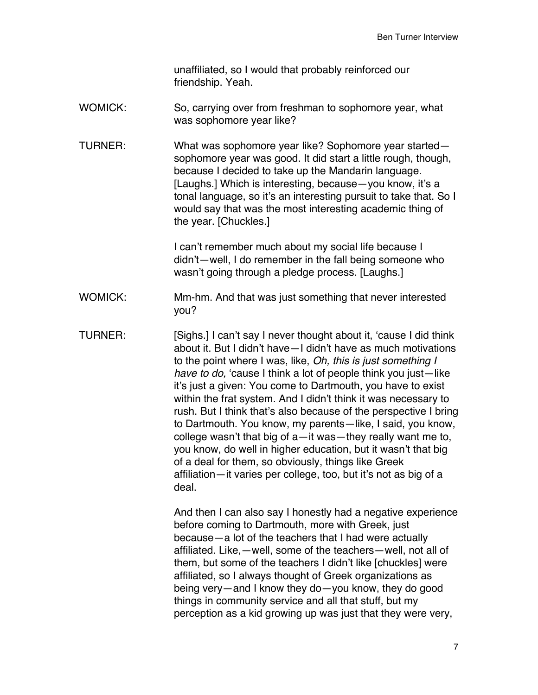unaffiliated, so I would that probably reinforced our friendship. Yeah.

WOMICK: So, carrying over from freshman to sophomore year, what was sophomore year like?

TURNER: What was sophomore year like? Sophomore year started sophomore year was good. It did start a little rough, though, because I decided to take up the Mandarin language. [Laughs.] Which is interesting, because—you know, it's a tonal language, so it's an interesting pursuit to take that. So I would say that was the most interesting academic thing of the year. [Chuckles.]

> I can't remember much about my social life because I didn't—well, I do remember in the fall being someone who wasn't going through a pledge process. [Laughs.]

- WOMICK: Mm-hm. And that was just something that never interested you?
- TURNER: [Sighs.] I can't say I never thought about it, 'cause I did think about it. But I didn't have—I didn't have as much motivations to the point where I was, like, *Oh, this is just something I have to do,* 'cause I think a lot of people think you just—like it's just a given: You come to Dartmouth, you have to exist within the frat system. And I didn't think it was necessary to rush. But I think that's also because of the perspective I bring to Dartmouth. You know, my parents—like, I said, you know, college wasn't that big of a—it was—they really want me to, you know, do well in higher education, but it wasn't that big of a deal for them, so obviously, things like Greek affiliation—it varies per college, too, but it's not as big of a deal.

And then I can also say I honestly had a negative experience before coming to Dartmouth, more with Greek, just because—a lot of the teachers that I had were actually affiliated. Like,—well, some of the teachers—well, not all of them, but some of the teachers I didn't like [chuckles] were affiliated, so I always thought of Greek organizations as being very—and I know they do—you know, they do good things in community service and all that stuff, but my perception as a kid growing up was just that they were very,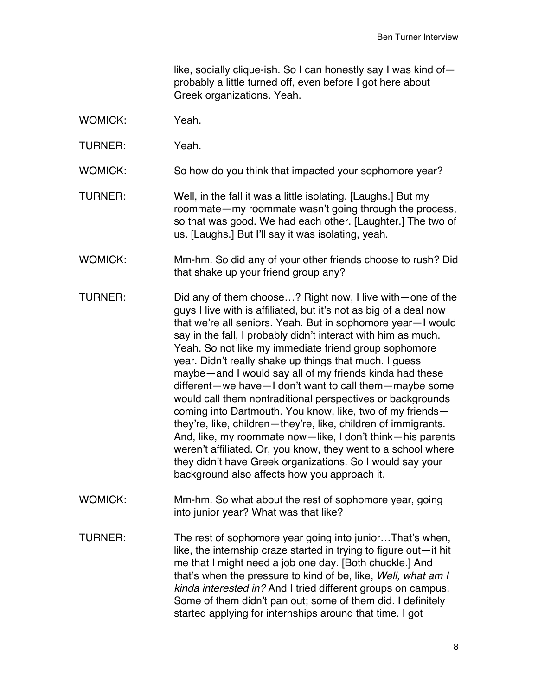like, socially clique-ish. So I can honestly say I was kind of probably a little turned off, even before I got here about Greek organizations. Yeah.

- WOMICK: Yeah.
- TURNER: Yeah.
- WOMICK: So how do you think that impacted your sophomore year?
- TURNER: Well, in the fall it was a little isolating. [Laughs.] But my roommate—my roommate wasn't going through the process, so that was good. We had each other. [Laughter.] The two of us. [Laughs.] But I'll say it was isolating, yeah.
- WOMICK: Mm-hm. So did any of your other friends choose to rush? Did that shake up your friend group any?
- TURNER: Did any of them choose…? Right now, I live with—one of the guys I live with is affiliated, but it's not as big of a deal now that we're all seniors. Yeah. But in sophomore year—I would say in the fall, I probably didn't interact with him as much. Yeah. So not like my immediate friend group sophomore year. Didn't really shake up things that much. I guess maybe—and I would say all of my friends kinda had these different—we have—I don't want to call them—maybe some would call them nontraditional perspectives or backgrounds coming into Dartmouth. You know, like, two of my friends they're, like, children—they're, like, children of immigrants. And, like, my roommate now—like, I don't think—his parents weren't affiliated. Or, you know, they went to a school where they didn't have Greek organizations. So I would say your background also affects how you approach it.
- WOMICK: Mm-hm. So what about the rest of sophomore year, going into junior year? What was that like?
- TURNER: The rest of sophomore year going into junior…That's when, like, the internship craze started in trying to figure out—it hit me that I might need a job one day. [Both chuckle.] And that's when the pressure to kind of be, like, *Well, what am I kinda interested in?* And I tried different groups on campus. Some of them didn't pan out; some of them did. I definitely started applying for internships around that time. I got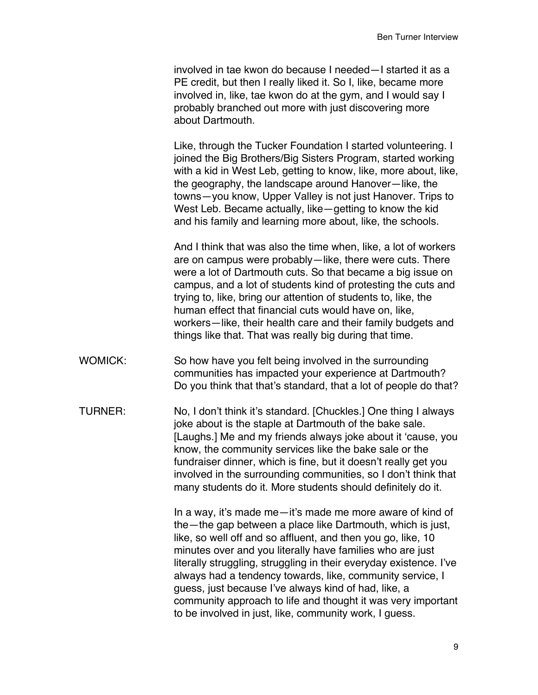involved in tae kwon do because I needed—I started it as a PE credit, but then I really liked it. So I, like, became more involved in, like, tae kwon do at the gym, and I would say I probably branched out more with just discovering more about Dartmouth.

Like, through the Tucker Foundation I started volunteering. I joined the Big Brothers/Big Sisters Program, started working with a kid in West Leb, getting to know, like, more about, like, the geography, the landscape around Hanover—like, the towns—you know, Upper Valley is not just Hanover. Trips to West Leb. Became actually, like—getting to know the kid and his family and learning more about, like, the schools.

And I think that was also the time when, like, a lot of workers are on campus were probably—like, there were cuts. There were a lot of Dartmouth cuts. So that became a big issue on campus, and a lot of students kind of protesting the cuts and trying to, like, bring our attention of students to, like, the human effect that financial cuts would have on, like, workers—like, their health care and their family budgets and things like that. That was really big during that time.

- WOMICK: So how have you felt being involved in the surrounding communities has impacted your experience at Dartmouth? Do you think that that's standard, that a lot of people do that?
- TURNER: No, I don't think it's standard. [Chuckles.] One thing I always joke about is the staple at Dartmouth of the bake sale. [Laughs.] Me and my friends always joke about it 'cause, you know, the community services like the bake sale or the fundraiser dinner, which is fine, but it doesn't really get you involved in the surrounding communities, so I don't think that many students do it. More students should definitely do it.

In a way, it's made me—it's made me more aware of kind of the—the gap between a place like Dartmouth, which is just, like, so well off and so affluent, and then you go, like, 10 minutes over and you literally have families who are just literally struggling, struggling in their everyday existence. I've always had a tendency towards, like, community service, I guess, just because I've always kind of had, like, a community approach to life and thought it was very important to be involved in just, like, community work, I guess.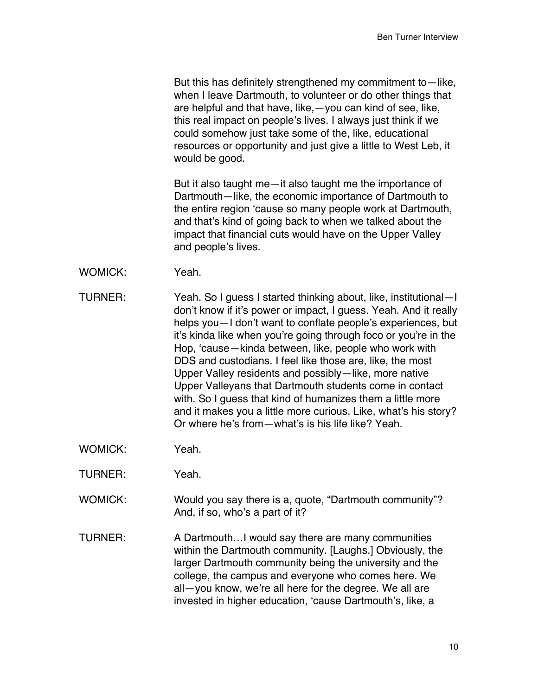But this has definitely strengthened my commitment to—like, when I leave Dartmouth, to volunteer or do other things that are helpful and that have, like,—you can kind of see, like, this real impact on people's lives. I always just think if we could somehow just take some of the, like, educational resources or opportunity and just give a little to West Leb, it would be good.

But it also taught me—it also taught me the importance of Dartmouth—like, the economic importance of Dartmouth to the entire region 'cause so many people work at Dartmouth, and that's kind of going back to when we talked about the impact that financial cuts would have on the Upper Valley and people's lives.

- WOMICK: Yeah.
- TURNER: Yeah. So I guess I started thinking about, like, institutional—I don't know if it's power or impact, I guess. Yeah. And it really helps you—I don't want to conflate people's experiences, but it's kinda like when you're going through foco or you're in the Hop, 'cause—kinda between, like, people who work with DDS and custodians. I feel like those are, like, the most Upper Valley residents and possibly—like, more native Upper Valleyans that Dartmouth students come in contact with. So I guess that kind of humanizes them a little more and it makes you a little more curious. Like, what's his story? Or where he's from—what's is his life like? Yeah.
- WOMICK: Yeah.
- TURNER: Yeah.
- WOMICK: Would you say there is a, quote, "Dartmouth community"? And, if so, who's a part of it?
- TURNER: A Dartmouth…I would say there are many communities within the Dartmouth community. [Laughs.] Obviously, the larger Dartmouth community being the university and the college, the campus and everyone who comes here. We all—you know, we're all here for the degree. We all are invested in higher education, 'cause Dartmouth's, like, a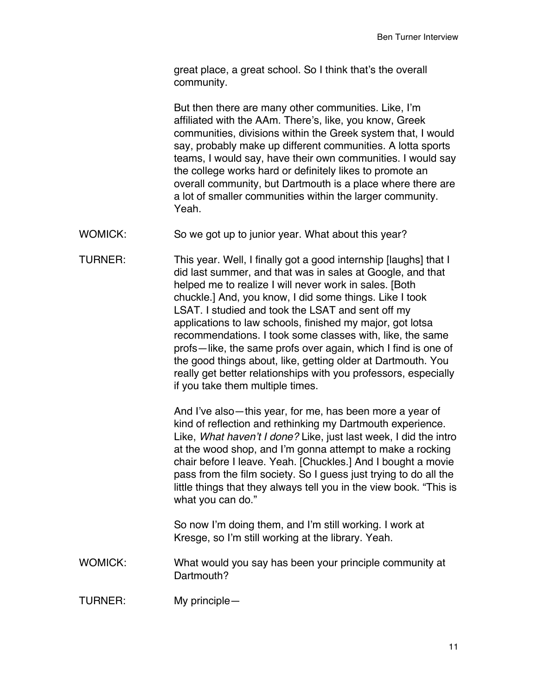great place, a great school. So I think that's the overall community.

But then there are many other communities. Like, I'm affiliated with the AAm. There's, like, you know, Greek communities, divisions within the Greek system that, I would say, probably make up different communities. A lotta sports teams, I would say, have their own communities. I would say the college works hard or definitely likes to promote an overall community, but Dartmouth is a place where there are a lot of smaller communities within the larger community. Yeah.

WOMICK: So we got up to junior year. What about this year?

TURNER: This year. Well, I finally got a good internship [laughs] that I did last summer, and that was in sales at Google, and that helped me to realize I will never work in sales. [Both chuckle.] And, you know, I did some things. Like I took LSAT. I studied and took the LSAT and sent off my applications to law schools, finished my major, got lotsa recommendations. I took some classes with, like, the same profs—like, the same profs over again, which I find is one of the good things about, like, getting older at Dartmouth. You really get better relationships with you professors, especially if you take them multiple times.

> And I've also—this year, for me, has been more a year of kind of reflection and rethinking my Dartmouth experience. Like, *What haven't I done?* Like, just last week, I did the intro at the wood shop, and I'm gonna attempt to make a rocking chair before I leave. Yeah. [Chuckles.] And I bought a movie pass from the film society. So I guess just trying to do all the little things that they always tell you in the view book. "This is what you can do."

So now I'm doing them, and I'm still working. I work at Kresge, so I'm still working at the library. Yeah.

WOMICK: What would you say has been your principle community at Dartmouth?

TURNER: My principle—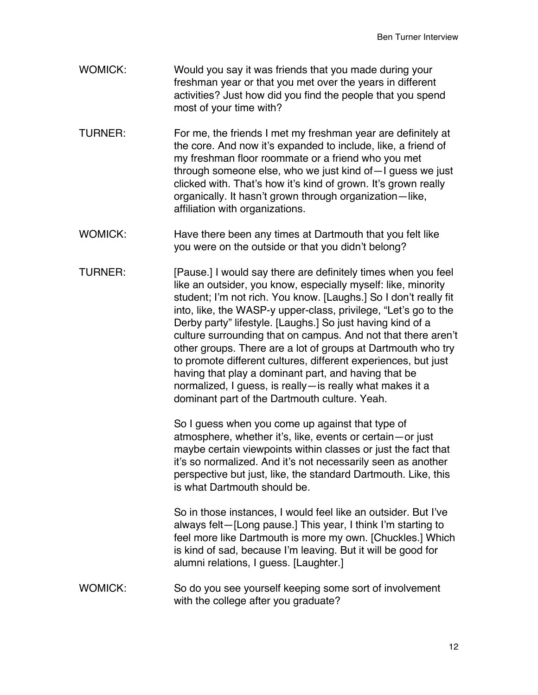- WOMICK: Would you say it was friends that you made during your freshman year or that you met over the years in different activities? Just how did you find the people that you spend most of your time with?
- TURNER: For me, the friends I met my freshman year are definitely at the core. And now it's expanded to include, like, a friend of my freshman floor roommate or a friend who you met through someone else, who we just kind of—I guess we just clicked with. That's how it's kind of grown. It's grown really organically. It hasn't grown through organization—like, affiliation with organizations.
- WOMICK: Have there been any times at Dartmouth that you felt like you were on the outside or that you didn't belong?
- TURNER: [Pause.] I would say there are definitely times when you feel like an outsider, you know, especially myself: like, minority student; I'm not rich. You know. [Laughs.] So I don't really fit into, like, the WASP-y upper-class, privilege, "Let's go to the Derby party" lifestyle. [Laughs.] So just having kind of a culture surrounding that on campus. And not that there aren't other groups. There are a lot of groups at Dartmouth who try to promote different cultures, different experiences, but just having that play a dominant part, and having that be normalized, I guess, is really—is really what makes it a dominant part of the Dartmouth culture. Yeah.

So I guess when you come up against that type of atmosphere, whether it's, like, events or certain—or just maybe certain viewpoints within classes or just the fact that it's so normalized. And it's not necessarily seen as another perspective but just, like, the standard Dartmouth. Like, this is what Dartmouth should be.

So in those instances, I would feel like an outsider. But I've always felt—[Long pause.] This year, I think I'm starting to feel more like Dartmouth is more my own. [Chuckles.] Which is kind of sad, because I'm leaving. But it will be good for alumni relations, I guess. [Laughter.]

WOMICK: So do you see yourself keeping some sort of involvement with the college after you graduate?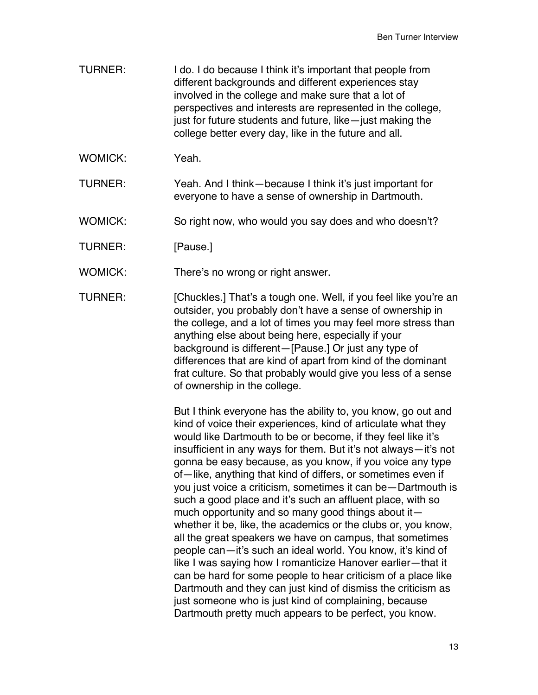- TURNER: I do. I do because I think it's important that people from different backgrounds and different experiences stay involved in the college and make sure that a lot of perspectives and interests are represented in the college, just for future students and future, like—just making the college better every day, like in the future and all.
- WOMICK: Yeah.
- TURNER: Yeah. And I think—because I think it's just important for everyone to have a sense of ownership in Dartmouth.
- WOMICK: So right now, who would you say does and who doesn't?
- TURNER: [Pause.]
- WOMICK: There's no wrong or right answer.
- TURNER: [Chuckles.] That's a tough one. Well, if you feel like you're an outsider, you probably don't have a sense of ownership in the college, and a lot of times you may feel more stress than anything else about being here, especially if your background is different—[Pause.] Or just any type of differences that are kind of apart from kind of the dominant frat culture. So that probably would give you less of a sense of ownership in the college.

But I think everyone has the ability to, you know, go out and kind of voice their experiences, kind of articulate what they would like Dartmouth to be or become, if they feel like it's insufficient in any ways for them. But it's not always—it's not gonna be easy because, as you know, if you voice any type of—like, anything that kind of differs, or sometimes even if you just voice a criticism, sometimes it can be—Dartmouth is such a good place and it's such an affluent place, with so much opportunity and so many good things about it $$ whether it be, like, the academics or the clubs or, you know, all the great speakers we have on campus, that sometimes people can—it's such an ideal world. You know, it's kind of like I was saying how I romanticize Hanover earlier—that it can be hard for some people to hear criticism of a place like Dartmouth and they can just kind of dismiss the criticism as just someone who is just kind of complaining, because Dartmouth pretty much appears to be perfect, you know.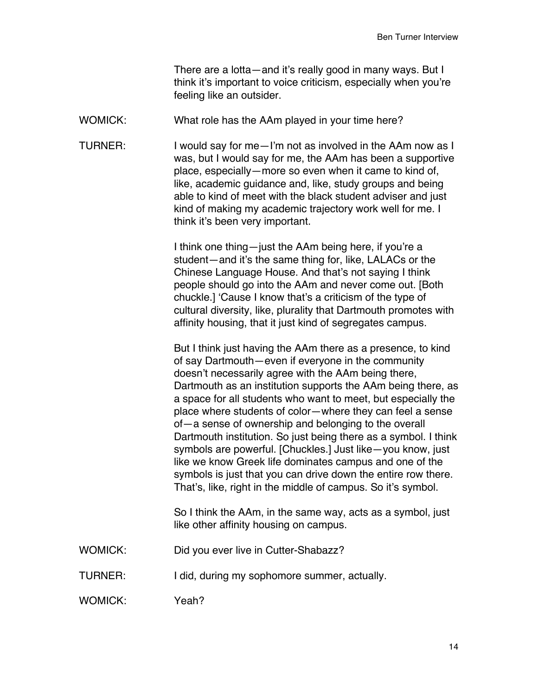There are a lotta—and it's really good in many ways. But I think it's important to voice criticism, especially when you're feeling like an outsider.

WOMICK: What role has the AAm played in your time here?

TURNER: I would say for me—I'm not as involved in the AAm now as I was, but I would say for me, the AAm has been a supportive place, especially—more so even when it came to kind of, like, academic guidance and, like, study groups and being able to kind of meet with the black student adviser and just kind of making my academic trajectory work well for me. I think it's been very important.

> I think one thing—just the AAm being here, if you're a student—and it's the same thing for, like, LALACs or the Chinese Language House. And that's not saying I think people should go into the AAm and never come out. [Both chuckle.] 'Cause I know that's a criticism of the type of cultural diversity, like, plurality that Dartmouth promotes with affinity housing, that it just kind of segregates campus.

But I think just having the AAm there as a presence, to kind of say Dartmouth—even if everyone in the community doesn't necessarily agree with the AAm being there, Dartmouth as an institution supports the AAm being there, as a space for all students who want to meet, but especially the place where students of color—where they can feel a sense of—a sense of ownership and belonging to the overall Dartmouth institution. So just being there as a symbol. I think symbols are powerful. [Chuckles.] Just like—you know, just like we know Greek life dominates campus and one of the symbols is just that you can drive down the entire row there. That's, like, right in the middle of campus. So it's symbol.

So I think the AAm, in the same way, acts as a symbol, just like other affinity housing on campus.

- WOMICK: Did you ever live in Cutter-Shabazz?
- TURNER: I did, during my sophomore summer, actually.

WOMICK: Yeah?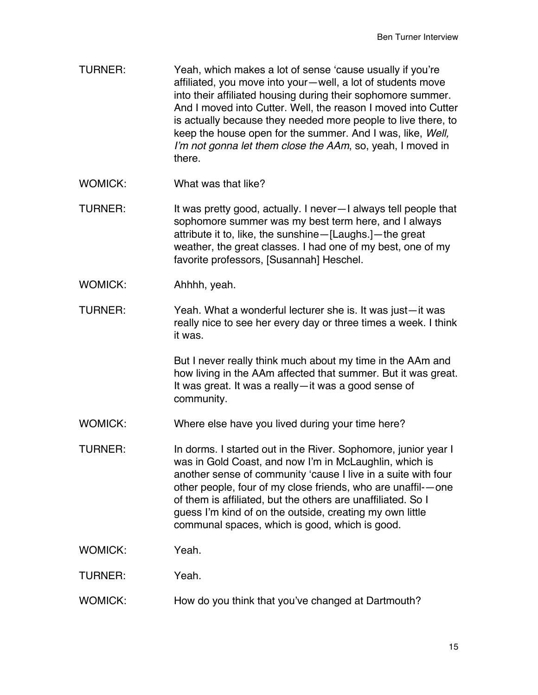- TURNER: Yeah, which makes a lot of sense 'cause usually if you're affiliated, you move into your—well, a lot of students move into their affiliated housing during their sophomore summer. And I moved into Cutter. Well, the reason I moved into Cutter is actually because they needed more people to live there, to keep the house open for the summer. And I was, like, *Well, I'm not gonna let them close the AAm*, so, yeah, I moved in there.
- WOMICK: What was that like?
- TURNER: It was pretty good, actually. I never—I always tell people that sophomore summer was my best term here, and I always attribute it to, like, the sunshine—[Laughs.]—the great weather, the great classes. I had one of my best, one of my favorite professors, [Susannah] Heschel.
- WOMICK: Ahhhh, yeah.
- TURNER: Yeah. What a wonderful lecturer she is. It was just—it was really nice to see her every day or three times a week. I think it was.

But I never really think much about my time in the AAm and how living in the AAm affected that summer. But it was great. It was great. It was a really—it was a good sense of community.

- WOMICK: Where else have you lived during your time here?
- TURNER: In dorms. I started out in the River. Sophomore, junior year I was in Gold Coast, and now I'm in McLaughlin, which is another sense of community 'cause I live in a suite with four other people, four of my close friends, who are unaffil-—one of them is affiliated, but the others are unaffiliated. So I guess I'm kind of on the outside, creating my own little communal spaces, which is good, which is good.
- WOMICK: Yeah.
- TURNER: Yeah.
- WOMICK: How do you think that you've changed at Dartmouth?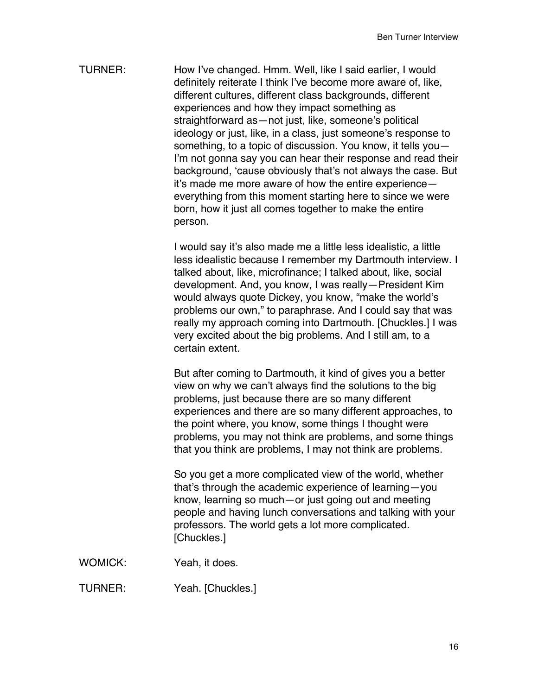TURNER: How I've changed. Hmm. Well, like I said earlier, I would definitely reiterate I think I've become more aware of, like, different cultures, different class backgrounds, different experiences and how they impact something as straightforward as—not just, like, someone's political ideology or just, like, in a class, just someone's response to something, to a topic of discussion. You know, it tells you— I'm not gonna say you can hear their response and read their background, 'cause obviously that's not always the case. But it's made me more aware of how the entire experience everything from this moment starting here to since we were born, how it just all comes together to make the entire person.

> I would say it's also made me a little less idealistic, a little less idealistic because I remember my Dartmouth interview. I talked about, like, microfinance; I talked about, like, social development. And, you know, I was really—President Kim would always quote Dickey, you know, "make the world's problems our own," to paraphrase. And I could say that was really my approach coming into Dartmouth. [Chuckles.] I was very excited about the big problems. And I still am, to a certain extent.

But after coming to Dartmouth, it kind of gives you a better view on why we can't always find the solutions to the big problems, just because there are so many different experiences and there are so many different approaches, to the point where, you know, some things I thought were problems, you may not think are problems, and some things that you think are problems, I may not think are problems.

So you get a more complicated view of the world, whether that's through the academic experience of learning—you know, learning so much—or just going out and meeting people and having lunch conversations and talking with your professors. The world gets a lot more complicated. [Chuckles.]

WOMICK: Yeah, it does.

TURNER: Yeah. [Chuckles.]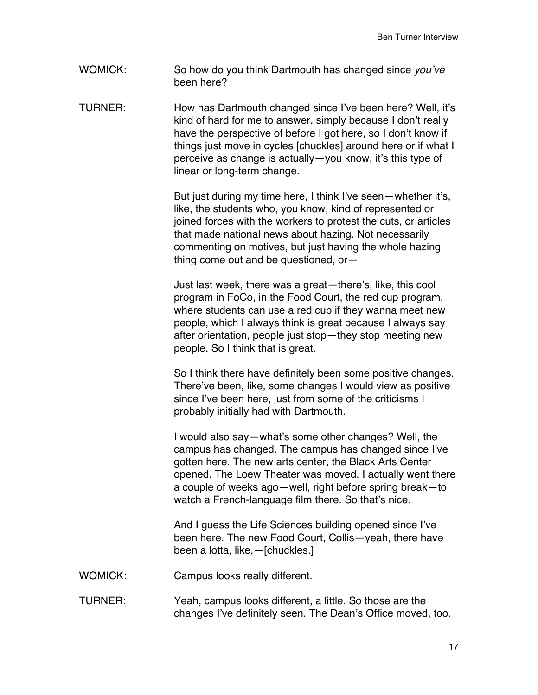WOMICK: So how do you think Dartmouth has changed since *you've* been here?

TURNER: How has Dartmouth changed since I've been here? Well, it's kind of hard for me to answer, simply because I don't really have the perspective of before I got here, so I don't know if things just move in cycles [chuckles] around here or if what I perceive as change is actually—you know, it's this type of linear or long-term change.

> But just during my time here, I think I've seen—whether it's, like, the students who, you know, kind of represented or joined forces with the workers to protest the cuts, or articles that made national news about hazing. Not necessarily commenting on motives, but just having the whole hazing thing come out and be questioned, or—

Just last week, there was a great—there's, like, this cool program in FoCo, in the Food Court, the red cup program, where students can use a red cup if they wanna meet new people, which I always think is great because I always say after orientation, people just stop—they stop meeting new people. So I think that is great.

So I think there have definitely been some positive changes. There've been, like, some changes I would view as positive since I've been here, just from some of the criticisms I probably initially had with Dartmouth.

I would also say—what's some other changes? Well, the campus has changed. The campus has changed since I've gotten here. The new arts center, the Black Arts Center opened. The Loew Theater was moved. I actually went there a couple of weeks ago—well, right before spring break—to watch a French-language film there. So that's nice.

And I guess the Life Sciences building opened since I've been here. The new Food Court, Collis—yeah, there have been a lotta, like,—[chuckles.]

- WOMICK: Campus looks really different.
- TURNER: Yeah, campus looks different, a little. So those are the changes I've definitely seen. The Dean's Office moved, too.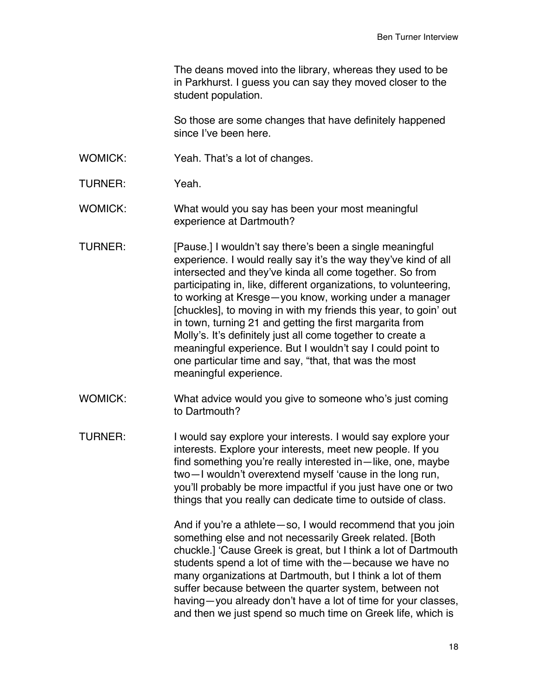The deans moved into the library, whereas they used to be in Parkhurst. I guess you can say they moved closer to the student population.

So those are some changes that have definitely happened since I've been here.

- WOMICK: Yeah. That's a lot of changes.
- TURNER: Yeah.

WOMICK: What would you say has been your most meaningful experience at Dartmouth?

- TURNER: [Pause.] I wouldn't say there's been a single meaningful experience. I would really say it's the way they've kind of all intersected and they've kinda all come together. So from participating in, like, different organizations, to volunteering, to working at Kresge—you know, working under a manager [chuckles], to moving in with my friends this year, to goin' out in town, turning 21 and getting the first margarita from Molly's. It's definitely just all come together to create a meaningful experience. But I wouldn't say I could point to one particular time and say, "that, that was the most meaningful experience.
- WOMICK: What advice would you give to someone who's just coming to Dartmouth?
- TURNER: I would say explore your interests. I would say explore your interests. Explore your interests, meet new people. If you find something you're really interested in—like, one, maybe two—I wouldn't overextend myself 'cause in the long run, you'll probably be more impactful if you just have one or two things that you really can dedicate time to outside of class.

And if you're a athlete—so, I would recommend that you join something else and not necessarily Greek related. [Both chuckle.] 'Cause Greek is great, but I think a lot of Dartmouth students spend a lot of time with the—because we have no many organizations at Dartmouth, but I think a lot of them suffer because between the quarter system, between not having—you already don't have a lot of time for your classes, and then we just spend so much time on Greek life, which is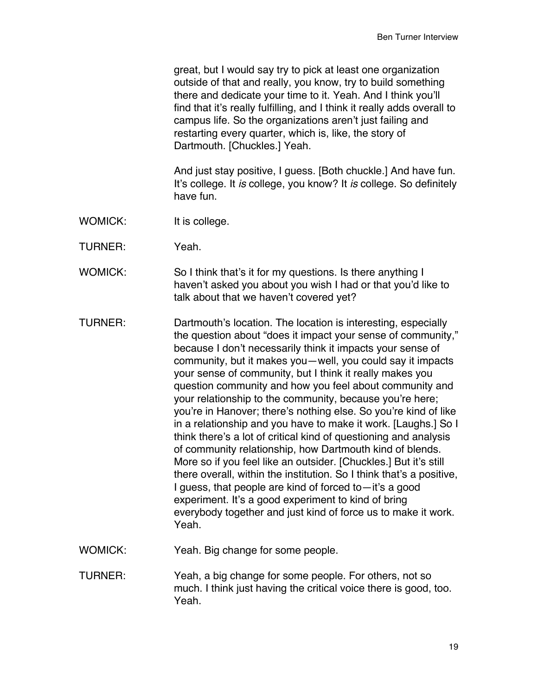great, but I would say try to pick at least one organization outside of that and really, you know, try to build something there and dedicate your time to it. Yeah. And I think you'll find that it's really fulfilling, and I think it really adds overall to campus life. So the organizations aren't just failing and restarting every quarter, which is, like, the story of Dartmouth. [Chuckles.] Yeah.

And just stay positive, I guess. [Both chuckle.] And have fun. It's college. It *is* college, you know? It *is* college. So definitely have fun.

- WOMICK: It is college.
- TURNER: Yeah.
- WOMICK: So I think that's it for my questions. Is there anything I haven't asked you about you wish I had or that you'd like to talk about that we haven't covered yet?
- TURNER: Dartmouth's location. The location is interesting, especially the question about "does it impact your sense of community," because I don't necessarily think it impacts your sense of community, but it makes you—well, you could say it impacts your sense of community, but I think it really makes you question community and how you feel about community and your relationship to the community, because you're here; you're in Hanover; there's nothing else. So you're kind of like in a relationship and you have to make it work. [Laughs.] So I think there's a lot of critical kind of questioning and analysis of community relationship, how Dartmouth kind of blends. More so if you feel like an outsider. [Chuckles.] But it's still there overall, within the institution. So I think that's a positive, I guess, that people are kind of forced to—it's a good experiment. It's a good experiment to kind of bring everybody together and just kind of force us to make it work. Yeah.

WOMICK: Yeah. Big change for some people.

TURNER: Yeah, a big change for some people. For others, not so much. I think just having the critical voice there is good, too. Yeah.